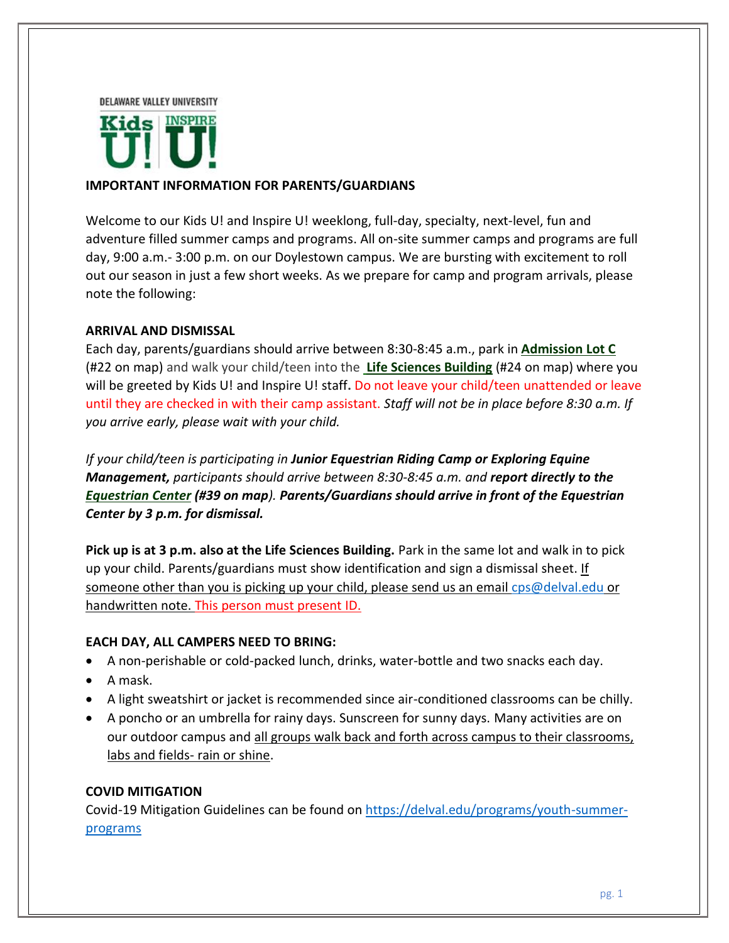DELAWARE VALLEY UNIVERSITY



### **IMPORTANT INFORMATION FOR PARENTS/GUARDIANS**

Welcome to our Kids U! and Inspire U! weeklong, full-day, specialty, next-level, fun and adventure filled summer camps and programs. All on-site summer camps and programs are full day, 9:00 a.m.- 3:00 p.m. on our Doylestown campus. We are bursting with excitement to roll out our season in just a few short weeks. As we prepare for camp and program arrivals, please note the following:

# **ARRIVAL AND DISMISSAL**

Each day, parents/guardians should arrive between 8:30-8:45 a.m., park in **[Admission Lot C](https://delval.edu/sites/default/files/2020-07/2018-01-12-DVU-CAMPUS-MAP-WEB.pdf)** (#22 on map) and walk your child/teen into the **[Life Sciences Building](https://delval.edu/sites/default/files/2020-07/2018-01-12-DVU-CAMPUS-MAP-WEB.pdf)** (#24 on map) where you will be greeted by Kids U! and Inspire U! staff**.** Do not leave your child/teen unattended or leave until they are checked in with their camp assistant. *Staff will not be in place before 8:30 a.m. If you arrive early, please wait with your child.* 

*If your child/teen is participating in Junior Equestrian Riding Camp or Exploring Equine Management, participants should arrive between 8:30-8:45 a.m. and report directly to the [Equestrian Center](https://delval.edu/sites/default/files/2020-07/2018-01-12-DVU-CAMPUS-MAP-WEB.pdf) (#39 on map). Parents/Guardians should arrive in front of the Equestrian Center by 3 p.m. for dismissal.*

**Pick up is at 3 p.m. also at the Life Sciences Building.** Park in the same lot and walk in to pick up your child. Parents/guardians must show identification and sign a dismissal sheet. If someone other than you is picking up your child, please send us an email [cps@delval.edu](mailto:cps@delval.edu) or handwritten note. This person must present ID.

# **EACH DAY, ALL CAMPERS NEED TO BRING:**

- A non-perishable or cold-packed lunch, drinks, water-bottle and two snacks each day.
- A mask.
- A light sweatshirt or jacket is recommended since air-conditioned classrooms can be chilly.
- A poncho or an umbrella for rainy days. Sunscreen for sunny days. Many activities are on our outdoor campus and all groups walk back and forth across campus to their classrooms, labs and fields- rain or shine.

# **COVID MITIGATION**

Covid-19 Mitigation Guidelines can be found on [https://delval.edu/programs/youth-summer](https://delval.edu/programs/youth-summer-programs)[programs](https://delval.edu/programs/youth-summer-programs)